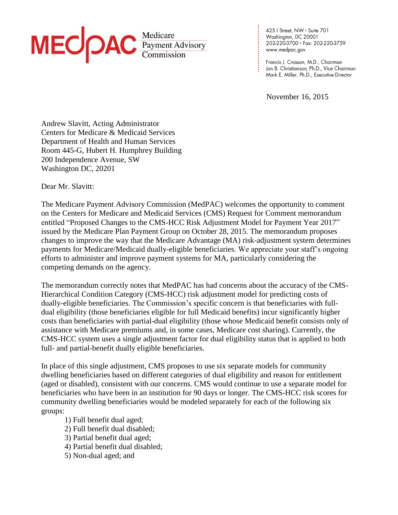

425 | Street, NW • Suite 701<br>Washington, DC 20001 202-220-3700 · Fax: 202-220-3759 www.medpac.gov

**. . . . . . . . . . . . . . . . . . . . . . . . . .**

Francis J. Crosson, M.D., Chairman Jon B. Christianson, Ph.D., Vice Chairman Mark E. Miller, Ph.D., Executive Director

November 16, 2015

Andrew Slavitt, Acting Administrator Centers for Medicare & Medicaid Services Department of Health and Human Services Room 445-G, Hubert H. Humphrey Building 200 Independence Avenue, SW Washington DC, 20201

Dear Mr. Slavitt:

The Medicare Payment Advisory Commission (MedPAC) welcomes the opportunity to comment on the Centers for Medicare and Medicaid Services (CMS) Request for Comment memorandum entitled "Proposed Changes to the CMS-HCC Risk Adjustment Model for Payment Year 2017" issued by the Medicare Plan Payment Group on October 28, 2015. The memorandum proposes changes to improve the way that the Medicare Advantage (MA) risk-adjustment system determines payments for Medicare/Medicaid dually-eligible beneficiaries. We appreciate your staff's ongoing efforts to administer and improve payment systems for MA, particularly considering the competing demands on the agency.

The memorandum correctly notes that MedPAC has had concerns about the accuracy of the CMS-Hierarchical Condition Category (CMS-HCC) risk adjustment model for predicting costs of dually-eligible beneficiaries. The Commission's specific concern is that beneficiaries with fulldual eligibility (those beneficiaries eligible for full Medicaid benefits) incur significantly higher costs than beneficiaries with partial-dual eligibility (those whose Medicaid benefit consists only of assistance with Medicare premiums and, in some cases, Medicare cost sharing). Currently, the CMS-HCC system uses a single adjustment factor for dual eligibility status that is applied to both full- and partial-benefit dually eligible beneficiaries.

In place of this single adjustment, CMS proposes to use six separate models for community dwelling beneficiaries based on different categories of dual eligibility and reason for entitlement (aged or disabled), consistent with our concerns. CMS would continue to use a separate model for beneficiaries who have been in an institution for 90 days or longer. The CMS-HCC risk scores for community dwelling beneficiaries would be modeled separately for each of the following six groups:

- 1) Full benefit dual aged;
- 2) Full benefit dual disabled;
- 3) Partial benefit dual aged;
- 4) Partial benefit dual disabled;
- 5) Non-dual aged; and